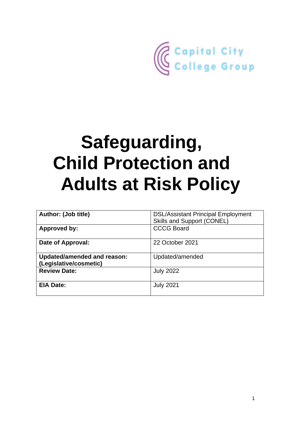

# **Safeguarding, Child Protection and Adults at Risk Policy**

| <b>Author: (Job title)</b>         | <b>DSL/Assistant Principal Employment</b> |
|------------------------------------|-------------------------------------------|
|                                    |                                           |
|                                    | Skills and Support (CONEL)                |
| <b>Approved by:</b>                | <b>CCCG Board</b>                         |
|                                    |                                           |
|                                    |                                           |
| Date of Approval:                  | 22 October 2021                           |
|                                    |                                           |
|                                    |                                           |
| <b>Updated/amended and reason:</b> | Updated/amended                           |
|                                    |                                           |
| (Legislative/cosmetic)             |                                           |
| <b>Review Date:</b>                | <b>July 2022</b>                          |
|                                    |                                           |
|                                    |                                           |
| <b>EIA Date:</b>                   | <b>July 2021</b>                          |
|                                    |                                           |
|                                    |                                           |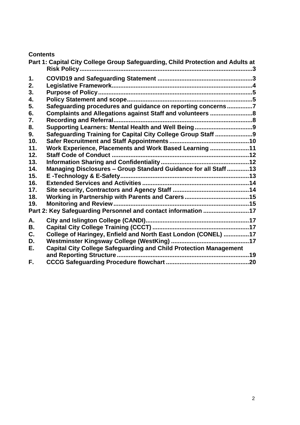## **Contents**

|     | Part 1: Capital City College Group Safeguarding, Child Protection and Adults at |  |
|-----|---------------------------------------------------------------------------------|--|
| 1.  |                                                                                 |  |
| 2.  |                                                                                 |  |
| 3.  |                                                                                 |  |
| 4.  |                                                                                 |  |
| 5.  | Safeguarding procedures and guidance on reporting concerns7                     |  |
| 6.  | Complaints and Allegations against Staff and volunteers 8                       |  |
| 7.  |                                                                                 |  |
| 8.  |                                                                                 |  |
| 9.  | Safeguarding Training for Capital City College Group Staff 9                    |  |
| 10. |                                                                                 |  |
| 11. | Work Experience, Placements and Work Based Learning 11                          |  |
| 12. |                                                                                 |  |
| 13. |                                                                                 |  |
| 14. | Managing Disclosures - Group Standard Guidance for all Staff  13                |  |
| 15. |                                                                                 |  |
| 16. |                                                                                 |  |
| 17. |                                                                                 |  |
| 18. |                                                                                 |  |
| 19. |                                                                                 |  |
|     | Part 2: Key Safeguarding Personnel and contact information 17                   |  |
| А.  |                                                                                 |  |
| В.  |                                                                                 |  |
| C.  | College of Haringey, Enfield and North East London (CONEL) 17                   |  |
| D.  |                                                                                 |  |
| Е.  | <b>Capital City College Safeguarding and Child Protection Management</b>        |  |
|     |                                                                                 |  |
| F.  |                                                                                 |  |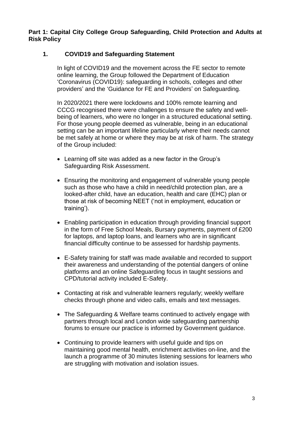<span id="page-2-0"></span>**Part 1: Capital City College Group Safeguarding, Child Protection and Adults at Risk Policy**

## <span id="page-2-1"></span>**1. COVID19 and Safeguarding Statement**

In light of COVID19 and the movement across the FE sector to remote online learning, the Group followed the Department of Education 'Coronavirus (COVID19): safeguarding in schools, colleges and other providers' and the 'Guidance for FE and Providers' on Safeguarding.

In 2020/2021 there were lockdowns and 100% remote learning and CCCG recognised there were challenges to ensure the safety and wellbeing of learners, who were no longer in a structured educational setting. For those young people deemed as vulnerable, being in an educational setting can be an important lifeline particularly where their needs cannot be met safely at home or where they may be at risk of harm. The strategy of the Group included:

- Learning off site was added as a new factor in the Group's Safeguarding Risk Assessment.
- Ensuring the monitoring and engagement of vulnerable young people such as those who have a child in need/child protection plan, are a looked-after child, have an education, health and care (EHC) plan or those at risk of becoming NEET ('not in employment, education or training').
- Enabling participation in education through providing financial support in the form of Free School Meals, Bursary payments, payment of £200 for laptops, and laptop loans, and learners who are in significant financial difficulty continue to be assessed for hardship payments.
- E-Safety training for staff was made available and recorded to support their awareness and understanding of the potential dangers of online platforms and an online Safeguarding focus in taught sessions and CPD/tutorial activity included E-Safety.
- Contacting at risk and vulnerable learners regularly; weekly welfare checks through phone and video calls, emails and text messages.
- The Safeguarding & Welfare teams continued to actively engage with partners through local and London wide safeguarding partnership forums to ensure our practice is informed by Government guidance.
- Continuing to provide learners with useful guide and tips on maintaining good mental health, enrichment activities on-line, and the launch a programme of 30 minutes listening sessions for learners who are struggling with motivation and isolation issues.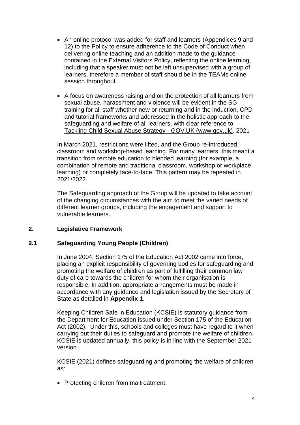- An online protocol was added for staff and learners (Appendices 9 and 12) to the Policy to ensure adherence to the Code of Conduct when delivering online teaching and an addition made to the guidance contained in the External Visitors Policy, reflecting the online learning, including that a speaker must not be left unsupervised with a group of learners, therefore a member of staff should be in the TEAMs online session throughout.
- A focus on awareness raising and on the protection of all learners from sexual abuse, harassment and violence will be evident in the SG training for all staff whether new or returning and in the induction, CPD and tutorial frameworks and addressed in the holistic approach to the safeguarding and welfare of all learners, with clear reference to [Tackling Child Sexual Abuse Strategy -](https://www.gov.uk/government/publications/tackling-child-sexual-abuse-strategy) GOV.UK (www.gov.uk), 2021

In March 2021, restrictions were lifted, and the Group re-introduced classroom and workshop-based learning. For many learners, this meant a transition from remote education to blended learning (for example, a combination of remote and traditional classroom, workshop or workplace learning) or completely face-to-face. This pattern may be repeated in 2021/2022.

The Safeguarding approach of the Group will be updated to take account of the changing circumstances with the aim to meet the varied needs of different learner groups, including the engagement and support to vulnerable learners.

### <span id="page-3-0"></span>**2. Legislative Framework**

### **2.1 Safeguarding Young People (Children)**

In June 2004, Section 175 of the Education Act 2002 came into force, placing an explicit responsibility of governing bodies for safeguarding and promoting the welfare of children as part of fulfilling their common law duty of care towards the children for whom their organisation is responsible. In addition, appropriate arrangements must be made in accordance with any guidance and legislation issued by the Secretary of State as detailed in **Appendix 1**.

Keeping Children Safe in Education (KCSIE) is statutory guidance from the Department for Education issued under Section 175 of the Education Act (2002). Under this, schools and colleges must have regard to it when carrying out their duties to safeguard and promote the welfare of children. KCSIE is updated annually, this policy is in line with the September 2021 version.

KCSIE (2021) defines safeguarding and promoting the welfare of children as:

• Protecting children from maltreatment.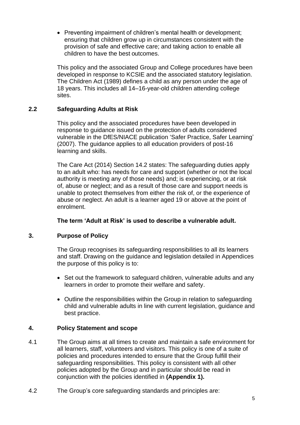• Preventing impairment of children's mental health or development; ensuring that children grow up in circumstances consistent with the provision of safe and effective care; and taking action to enable all children to have the best outcomes.

This policy and the associated Group and College procedures have been developed in response to KCSIE and the associated statutory legislation. The Children Act (1989) defines a child as any person under the age of 18 years. This includes all 14–16-year-old children attending college sites.

### **2.2 Safeguarding Adults at Risk**

This policy and the associated procedures have been developed in response to guidance issued on the protection of adults considered vulnerable in the DfES/NIACE publication 'Safer Practice, Safer Learning' (2007). The guidance applies to all education providers of post-16 learning and skills.

The Care Act (2014) Section 14.2 states: The safeguarding duties apply to an adult who: has needs for care and support (whether or not the local authority is meeting any of those needs) and; is experiencing, or at risk of, abuse or neglect; and as a result of those care and support needs is unable to protect themselves from either the risk of, or the experience of abuse or neglect. An adult is a learner aged 19 or above at the point of enrolment.

### **The term 'Adult at Risk' is used to describe a vulnerable adult.**

## <span id="page-4-0"></span>**3. Purpose of Policy**

The Group recognises its safeguarding responsibilities to all its learners and staff. Drawing on the guidance and legislation detailed in Appendices the purpose of this policy is to:

- Set out the framework to safeguard children, vulnerable adults and any learners in order to promote their welfare and safety.
- Outline the responsibilities within the Group in relation to safeguarding child and vulnerable adults in line with current legislation, guidance and best practice.

### <span id="page-4-1"></span>**4. Policy Statement and scope**

- 4.1 The Group aims at all times to create and maintain a safe environment for all learners, staff, volunteers and visitors. This policy is one of a suite of policies and procedures intended to ensure that the Group fulfill their safeguarding responsibilities. This policy is consistent with all other policies adopted by the Group and in particular should be read in conjunction with the policies identified in **(Appendix 1).**
- 4.2 The Group's core safeguarding standards and principles are: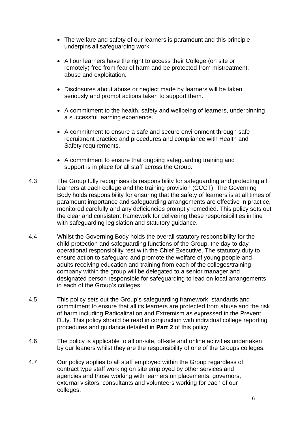- The welfare and safety of our learners is paramount and this principle underpins all safeguarding work.
- All our learners have the right to access their College (on site or remotely) free from fear of harm and be protected from mistreatment, abuse and exploitation.
- Disclosures about abuse or neglect made by learners will be taken seriously and prompt actions taken to support them.
- A commitment to the health, safety and wellbeing of learners, underpinning a successful learning experience.
- A commitment to ensure a safe and secure environment through safe recruitment practice and procedures and compliance with Health and Safety requirements.
- A commitment to ensure that ongoing safeguarding training and support is in place for all staff across the Group.
- 4.3 The Group fully recognises its responsibility for safeguarding and protecting all learners at each college and the training provision (CCCT). The Governing Body holds responsibility for ensuring that the safety of learners is at all times of paramount importance and safeguarding arrangements are effective in practice, monitored carefully and any deficiencies promptly remedied. This policy sets out the clear and consistent framework for delivering these responsibilities in line with safeguarding legislation and statutory guidance.
- 4.4 Whilst the Governing Body holds the overall statutory responsibility for the child protection and safeguarding functions of the Group, the day to day operational responsibility rest with the Chief Executive. The statutory duty to ensure action to safeguard and promote the welfare of young people and adults receiving education and training from each of the colleges/training company within the group will be delegated to a senior manager and designated person responsible for safeguarding to lead on local arrangements in each of the Group's colleges.
- 4.5 This policy sets out the Group's safeguarding framework, standards and commitment to ensure that all its learners are protected from abuse and the risk of harm including Radicalization and Extremism as expressed in the Prevent Duty. This policy should be read in conjunction with individual college reporting procedures and guidance detailed in **Part 2** of this policy.
- 4.6 The policy is applicable to all on-site, off-site and online activities undertaken by our leaners whilst they are the responsibility of one of the Groups colleges.
- 4.7 Our policy applies to all staff employed within the Group regardless of contract type staff working on site employed by other services and agencies and those working with learners on placements, governors, external visitors, consultants and volunteers working for each of our colleges.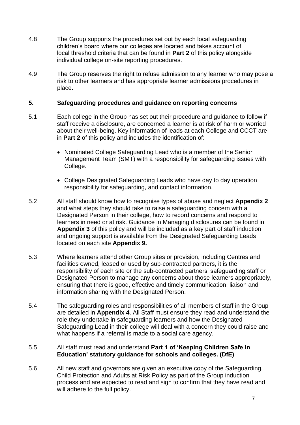- 4.8 The Group supports the procedures set out by each local safeguarding children's board where our colleges are located and takes account of local threshold criteria that can be found in **Part 2** of this policy alongside individual college on-site reporting procedures.
- 4.9 The Group reserves the right to refuse admission to any learner who may pose a risk to other learners and has appropriate learner admissions procedures in place.

#### <span id="page-6-0"></span>**5. Safeguarding procedures and guidance on reporting concerns**

- 5.1 Each college in the Group has set out their procedure and guidance to follow if staff receive a disclosure, are concerned a learner is at risk of harm or worried about their well-being. Key information of leads at each College and CCCT are in **Part 2** of this policy and includes the identification of:
	- Nominated College Safeguarding Lead who is a member of the Senior Management Team (SMT) with a responsibility for safeguarding issues with College.
	- College Designated Safeguarding Leads who have day to day operation responsibility for safeguarding, and contact information.
- 5.2 All staff should know how to recognise types of abuse and neglect **Appendix 2** and what steps they should take to raise a safeguarding concern with a Designated Person in their college, how to record concerns and respond to learners in need or at risk. Guidance in Managing disclosures can be found in **Appendix 3** of this policy and will be included as a key part of staff induction and ongoing support is available from the Designated Safeguarding Leads located on each site **Appendix 9.**
- 5.3 Where learners attend other Group sites or provision, including Centres and facilities owned, leased or used by sub-contracted partners, it is the responsibility of each site or the sub-contracted partners' safeguarding staff or Designated Person to manage any concerns about those learners appropriately, ensuring that there is good, effective and timely communication, liaison and information sharing with the Designated Person.
- 5.4 The safeguarding roles and responsibilities of all members of staff in the Group are detailed in **Appendix 4**. All Staff must ensure they read and understand the role they undertake in safeguarding learners and how the Designated Safeguarding Lead in their college will deal with a concern they could raise and what happens if a referral is made to a social care agency.

#### 5.5 All staff must read and understand **Part 1 of 'Keeping Children Safe in Education' statutory guidance for schools and colleges. (DfE)**

5.6 All new staff and governors are given an executive copy of the Safeguarding, Child Protection and Adults at Risk Policy as part of the Group induction process and are expected to read and sign to confirm that they have read and will adhere to the full policy.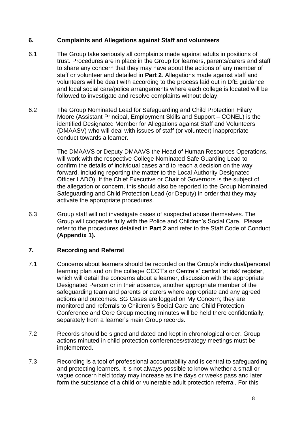#### <span id="page-7-0"></span>**6. Complaints and Allegations against Staff and volunteers**

- 6.1 The Group take seriously all complaints made against adults in positions of trust. Procedures are in place in the Group for learners, parents/carers and staff to share any concern that they may have about the actions of any member of staff or volunteer and detailed in **Part 2**. Allegations made against staff and volunteers will be dealt with according to the process laid out in DfE guidance and local social care/police arrangements where each college is located will be followed to investigate and resolve complaints without delay.
- 6.2 The Group Nominated Lead for Safeguarding and Child Protection Hilary Moore (Assistant Principal, Employment Skills and Support – CONEL) is the identified Designated Member for Allegations against Staff and Volunteers (DMAASV) who will deal with issues of staff (or volunteer) inappropriate conduct towards a learner.

The DMAAVS or Deputy DMAAVS the Head of Human Resources Operations, will work with the respective College Nominated Safe Guarding Lead to confirm the details of individual cases and to reach a decision on the way forward, including reporting the matter to the Local Authority Designated Officer LADO). If the Chief Executive or Chair of Governors is the subject of the allegation or concern, this should also be reported to the Group Nominated Safeguarding and Child Protection Lead (or Deputy) in order that they may activate the appropriate procedures.

6.3 Group staff will not investigate cases of suspected abuse themselves. The Group will cooperate fully with the Police and Children's Social Care. Please refer to the procedures detailed in **Part 2** and refer to the Staff Code of Conduct **(Appendix 1).**

### <span id="page-7-1"></span>**7. Recording and Referral**

- 7.1 Concerns about learners should be recorded on the Group's individual/personal learning plan and on the college/ CCCT's or Centre's' central 'at risk' register, which will detail the concerns about a learner, discussion with the appropriate Designated Person or in their absence, another appropriate member of the safeguarding team and parents or carers where appropriate and any agreed actions and outcomes. SG Cases are logged on My Concern; they are monitored and referrals to Children's Social Care and Child Protection Conference and Core Group meeting minutes will be held there confidentially, separately from a learner's main Group records.
- 7.2 Records should be signed and dated and kept in chronological order. Group actions minuted in child protection conferences/strategy meetings must be implemented.
- 7.3 Recording is a tool of professional accountability and is central to safeguarding and protecting learners. It is not always possible to know whether a small or vague concern held today may increase as the days or weeks pass and later form the substance of a child or vulnerable adult protection referral. For this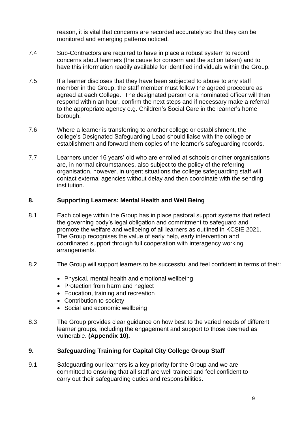reason, it is vital that concerns are recorded accurately so that they can be monitored and emerging patterns noticed.

- 7.4 Sub-Contractors are required to have in place a robust system to record concerns about learners (the cause for concern and the action taken) and to have this information readily available for identified individuals within the Group.
- 7.5 If a learner discloses that they have been subjected to abuse to any staff member in the Group, the staff member must follow the agreed procedure as agreed at each College. The designated person or a nominated officer will then respond within an hour, confirm the next steps and if necessary make a referral to the appropriate agency e.g. Children's Social Care in the learner's home borough.
- 7.6 Where a learner is transferring to another college or establishment, the college's Designated Safeguarding Lead should liaise with the college or establishment and forward them copies of the learner's safeguarding records.
- 7.7 Learners under 16 years' old who are enrolled at schools or other organisations are, in normal circumstances, also subject to the policy of the referring organisation, however, in urgent situations the college safeguarding staff will contact external agencies without delay and then coordinate with the sending institution.

#### <span id="page-8-0"></span>**8. Supporting Learners: Mental Health and Well Being**

- 8.1 Each college within the Group has in place pastoral support systems that reflect the governing body's legal obligation and commitment to safeguard and promote the welfare and wellbeing of all learners as outlined in KCSIE 2021. The Group recognises the value of early help, early intervention and coordinated support through full cooperation with interagency working arrangements.
- 8.2 The Group will support learners to be successful and feel confident in terms of their:
	- Physical, mental health and emotional wellbeing
	- Protection from harm and neglect
	- Education, training and recreation
	- Contribution to society
	- Social and economic wellbeing
- 8.3 The Group provides clear guidance on how best to the varied needs of different learner groups, including the engagement and support to those deemed as vulnerable. **(Appendix 10).**

### <span id="page-8-1"></span>**9. Safeguarding Training for Capital City College Group Staff**

9.1 Safeguarding our learners is a key priority for the Group and we are committed to ensuring that all staff are well trained and feel confident to carry out their safeguarding duties and responsibilities.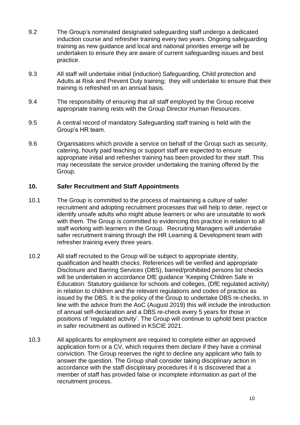- 9.2 The Group's nominated designated safeguarding staff undergo a dedicated induction course and refresher training every two years. Ongoing safeguarding training as new guidance and local and national priorities emerge will be undertaken to ensure they are aware of current safeguarding issues and best practice.
- 9.3 All staff will undertake initial (induction) Safeguarding, Child protection and Adults at Risk and Prevent Duty training; they will undertake to ensure that their training is refreshed on an annual basis.
- 9.4 The responsibility of ensuring that all staff employed by the Group receive appropriate training rests with the Group Director Human Resources.
- 9.5 A central record of mandatory Safeguarding staff training is held with the Group's HR team.
- 9.6 Organisations which provide a service on behalf of the Group such as security, catering, hourly paid teaching or support staff are expected to ensure appropriate initial and refresher training has been provided for their staff. This may necessitate the service provider undertaking the training offered by the Group.

#### <span id="page-9-0"></span>**10. Safer Recruitment and Staff Appointments**

- 10.1 The Group is committed to the process of maintaining a culture of safer recruitment and adopting recruitment processes that will help to deter, reject or identify unsafe adults who might abuse learners or who are unsuitable to work with them. The Group is committed to evidencing this practice in relation to all staff working with learners in the Group. Recruiting Managers will undertake safer recruitment training through the HR Learning & Development team with refresher training every three years.
- 10.2 All staff recruited to the Group will be subject to appropriate identity, qualification and health checks. References will be verified and appropriate Disclosure and Barring Services (DBS), barred/prohibited persons list checks will be undertaken in accordance DfE guidance 'Keeping Children Safe in Education: Statutory guidance for schools and colleges, (DfE regulated activity) in relation to children and the relevant regulations and codes of practice as issued by the DBS. It is the policy of the Group to undertake DBS re-checks. In line with the advice from the AoC (August 2019) this will include the introduction of annual self-declaration and a DBS re-check every 5 years for those in positions of 'regulated activity'. The Group will continue to uphold best practice in safer recruitment as outlined in KSCIE 2021.
- 10.3 All applicants for employment are required to complete either an approved application form or a CV, which requires them declare if they have a criminal conviction. The Group reserves the right to decline any applicant who fails to answer the question. The Group shall consider taking disciplinary action in accordance with the staff disciplinary procedures if it is discovered that a member of staff has provided false or incomplete information as part of the recruitment process.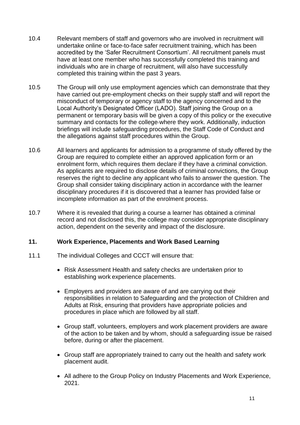- 10.4 Relevant members of staff and governors who are involved in recruitment will undertake online or face-to-face safer recruitment training, which has been accredited by the 'Safer Recruitment Consortium'. All recruitment panels must have at least one member who has successfully completed this training and individuals who are in charge of recruitment, will also have successfully completed this training within the past 3 years.
- 10.5 The Group will only use employment agencies which can demonstrate that they have carried out pre-employment checks on their supply staff and will report the misconduct of temporary or agency staff to the agency concerned and to the Local Authority's Designated Officer (LADO). Staff joining the Group on a permanent or temporary basis will be given a copy of this policy or the executive summary and contacts for the college where they work. Additionally, induction briefings will include safeguarding procedures, the Staff Code of Conduct and the allegations against staff procedures within the Group.
- 10.6 All learners and applicants for admission to a programme of study offered by the Group are required to complete either an approved application form or an enrolment form, which requires them declare if they have a criminal conviction. As applicants are required to disclose details of criminal convictions, the Group reserves the right to decline any applicant who fails to answer the question. The Group shall consider taking disciplinary action in accordance with the learner disciplinary procedures if it is discovered that a learner has provided false or incomplete information as part of the enrolment process.
- 10.7 Where it is revealed that during a course a learner has obtained a criminal record and not disclosed this, the college may consider appropriate disciplinary action, dependent on the severity and impact of the disclosure.

#### <span id="page-10-0"></span>**11. Work Experience, Placements and Work Based Learning**

- 11.1 The individual Colleges and CCCT will ensure that:
	- Risk Assessment Health and safety checks are undertaken prior to establishing work experience placements.
	- Employers and providers are aware of and are carrying out their responsibilities in relation to Safeguarding and the protection of Children and Adults at Risk, ensuring that providers have appropriate policies and procedures in place which are followed by all staff.
	- Group staff, volunteers, employers and work placement providers are aware of the action to be taken and by whom, should a safeguarding issue be raised before, during or after the placement.
	- Group staff are appropriately trained to carry out the health and safety work placement audit.
	- All adhere to the Group Policy on Industry Placements and Work Experience, 2021.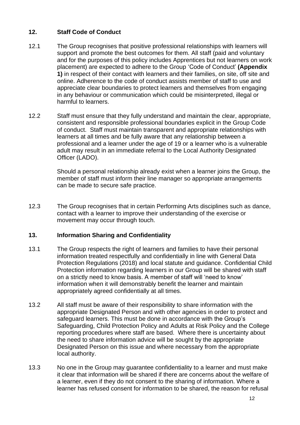## <span id="page-11-0"></span>**12. Staff Code of Conduct**

- 12.1 The Group recognises that positive professional relationships with learners will support and promote the best outcomes for them. All staff (paid and voluntary and for the purposes of this policy includes Apprentices but not learners on work placement) are expected to adhere to the Group 'Code of Conduct' **(Appendix 1)** in respect of their contact with learners and their families, on site, off site and online. Adherence to the code of conduct assists member of staff to use and appreciate clear boundaries to protect learners and themselves from engaging in any behaviour or communication which could be misinterpreted, illegal or harmful to learners.
- 12.2 Staff must ensure that they fully understand and maintain the clear, appropriate, consistent and responsible professional boundaries explicit in the Group Code of conduct. Staff must maintain transparent and appropriate relationships with learners at all times and be fully aware that any relationship between a professional and a learner under the age of 19 or a learner who is a vulnerable adult may result in an immediate referral to the Local Authority Designated Officer (LADO).

Should a personal relationship already exist when a learner joins the Group, the member of staff must inform their line manager so appropriate arrangements can be made to secure safe practice.

12.3 The Group recognises that in certain Performing Arts disciplines such as dance, contact with a learner to improve their understanding of the exercise or movement may occur through touch.

### <span id="page-11-1"></span>**13. Information Sharing and Confidentiality**

- 13.1 The Group respects the right of learners and families to have their personal information treated respectfully and confidentially in line with General Data Protection Regulations (2018) and local statute and guidance. Confidential Child Protection information regarding learners in our Group will be shared with staff on a strictly need to know basis. A member of staff will 'need to know' information when it will demonstrably benefit the learner and maintain appropriately agreed confidentially at all times.
- 13.2 All staff must be aware of their responsibility to share information with the appropriate Designated Person and with other agencies in order to protect and safeguard learners. This must be done in accordance with the Group's Safeguarding, Child Protection Policy and Adults at Risk Policy and the College reporting procedures where staff are based. Where there is uncertainty about the need to share information advice will be sought by the appropriate Designated Person on this issue and where necessary from the appropriate local authority.
- 13.3 No one in the Group may guarantee confidentiality to a learner and must make it clear that information will be shared if there are concerns about the welfare of a learner, even if they do not consent to the sharing of information. Where a learner has refused consent for information to be shared, the reason for refusal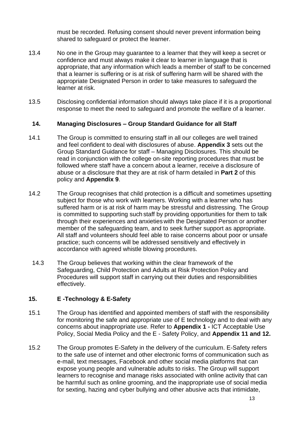must be recorded. Refusing consent should never prevent information being shared to safeguard or protect the learner.

- 13.4 No one in the Group may guarantee to a learner that they will keep a secret or confidence and must always make it clear to learner in language that is appropriate, that any information which leads a member of staff to be concerned that a learner is suffering or is at risk of suffering harm will be shared with the appropriate Designated Person in order to take measures to safeguard the learner at risk.
- 13.5 Disclosing confidential information should always take place if it is a proportional response to meet the need to safeguard and promote the welfare of a learner.

#### <span id="page-12-0"></span>**14. Managing Disclosures – Group Standard Guidance for all Staff**

- 14.1 The Group is committed to ensuring staff in all our colleges are well trained and feel confident to deal with disclosures of abuse. **Appendix 3** sets out the Group Standard Guidance for staff – Managing Disclosures. This should be read in conjunction with the college on-site reporting procedures that must be followed where staff have a concern about a learner, receive a disclosure of abuse or a disclosure that they are at risk of harm detailed in **Part 2** of this policy and **Appendix 9**.
- 14.2 The Group recognises that child protection is a difficult and sometimes upsetting subject for those who work with learners. Working with a learner who has suffered harm or is at risk of harm may be stressful and distressing. The Group is committed to supporting such staff by providing opportunities for them to talk through their experiences and anxieties with the Designated Person or another member of the safeguarding team, and to seek further support as appropriate. All staff and volunteers should feel able to raise concerns about poor or unsafe practice; such concerns will be addressed sensitively and effectively in accordance with agreed whistle blowing procedures.
- 14.3 The Group believes that working within the clear framework of the Safeguarding, Child Protection and Adults at Risk Protection Policy and Procedures will support staff in carrying out their duties and responsibilities effectively.

### <span id="page-12-1"></span>**15. E -Technology & E-Safety**

- 15.1 The Group has identified and appointed members of staff with the responsibility for monitoring the safe and appropriate use of E technology and to deal with any concerns about inappropriate use. Refer to **Appendix 1 -** ICT Acceptable Use Policy, Social Media Policy and the E - Safety Policy, and **Appendix 11 and 12.**
- 15.2 The Group promotes E-Safety in the delivery of the curriculum. E-Safety refers to the safe use of internet and other electronic forms of communication such as e-mail, text messages, Facebook and other social media platforms that can expose young people and vulnerable adults to risks. The Group will support learners to recognise and manage risks associated with online activity that can be harmful such as online grooming, and the inappropriate use of social media for sexting, hazing and cyber bullying and other abusive acts that intimidate,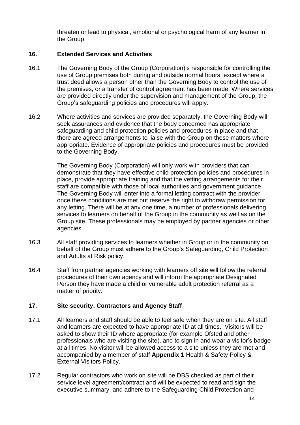threaten or lead to physical, emotional or psychological harm of any learner in the Group.

#### <span id="page-13-0"></span>**16. Extended Services and Activities**

- 16.1 The Governing Body of the Group (Corporation)is responsible for controlling the use of Group premises both during and outside normal hours, except where a trust deed allows a person other than the Governing Body to control the use of the premises, or a transfer of control agreement has been made. Where services are provided directly under the supervision and management of the Group, the Group's safeguarding policies and procedures will apply.
- 16.2 Where activities and services are provided separately, the Governing Body will seek assurances and evidence that the body concerned has appropriate safeguarding and child protection policies and procedures in place and that there are agreed arrangements to liaise with the Group on these matters where appropriate. Evidence of appropriate policies and procedures must be provided to the Governing Body.

The Governing Body (Corporation) will only work with providers that can demonstrate that they have effective child protection policies and procedures in place, provide appropriate training and that the vetting arrangements for their staff are compatible with those of local authorities and government guidance. The Governing Body will enter into a formal letting contract with the provider once these conditions are met but reserve the right to withdraw permission for any letting. There will be at any one time, a number of professionals delivering services to learners on behalf of the Group in the community as well as on the Group site. These professionals may be employed by partner agencies or other agencies.

- 16.3 All staff providing services to learners whether in Group or in the community on behalf of the Group must adhere to the Group's Safeguarding, Child Protection and Adults at Risk policy.
- 16.4 Staff from partner agencies working with learners off site will follow the referral procedures of their own agency and will inform the appropriate Designated Person they have made a child or vulnerable adult protection referral as a matter of priority.

### <span id="page-13-1"></span>**17. Site security, Contractors and Agency Staff**

- 17.1 All learners and staff should be able to feel safe when they are on site. All staff and learners are expected to have appropriate ID at all times. Visitors will be asked to show their ID where appropriate (for example Ofsted and other professionals who are visiting the site), and to sign in and wear a visitor's badge at all times. No visitor will be allowed access to a site unless they are met and accompanied by a member of staff **Appendix 1** Health & Safety Policy & External Visitors Policy.
- 17.2 Regular contractors who work on site will be DBS checked as part of their service level agreement/contract and will be expected to read and sign the executive summary, and adhere to the Safeguarding Child Protection and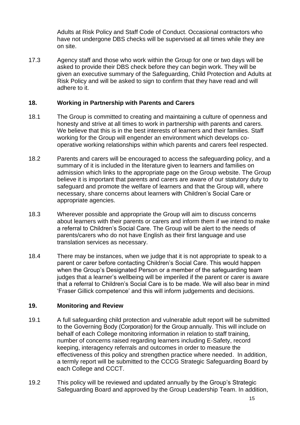Adults at Risk Policy and Staff Code of Conduct. Occasional contractors who have not undergone DBS checks will be supervised at all times while they are on site.

17.3 Agency staff and those who work within the Group for one or two days will be asked to provide their DBS check before they can begin work. They will be given an executive summary of the Safeguarding, Child Protection and Adults at Risk Policy and will be asked to sign to confirm that they have read and will adhere to it.

#### <span id="page-14-0"></span>**18. Working in Partnership with Parents and Carers**

- 18.1 The Group is committed to creating and maintaining a culture of openness and honesty and strive at all times to work in partnership with parents and carers. We believe that this is in the best interests of learners and their families. Staff working for the Group will engender an environment which develops cooperative working relationships within which parents and carers feel respected.
- 18.2 Parents and carers will be encouraged to access the safeguarding policy, and a summary of it is included in the literature given to learners and families on admission which links to the appropriate page on the Group website. The Group believe it is important that parents and carers are aware of our statutory duty to safeguard and promote the welfare of learners and that the Group will, where necessary, share concerns about learners with Children's Social Care or appropriate agencies.
- 18.3 Wherever possible and appropriate the Group will aim to discuss concerns about learners with their parents or carers and inform them if we intend to make a referral to Children's Social Care. The Group will be alert to the needs of parents/carers who do not have English as their first language and use translation services as necessary.
- 18.4 There may be instances, when we judge that it is not appropriate to speak to a parent or carer before contacting Children's Social Care. This would happen when the Group's Designated Person or a member of the safeguarding team judges that a learner's wellbeing will be imperiled if the parent or carer is aware that a referral to Children's Social Care is to be made. We will also bear in mind 'Fraser Gillick competence' and this will inform judgements and decisions.

#### <span id="page-14-1"></span>**19. Monitoring and Review**

- 19.1 A full safeguarding child protection and vulnerable adult report will be submitted to the Governing Body (Corporation) for the Group annually. This will include on behalf of each College monitoring information in relation to staff training, number of concerns raised regarding learners including E-Safety, record keeping, interagency referrals and outcomes in order to measure the effectiveness of this policy and strengthen practice where needed. In addition, a termly report will be submitted to the CCCG Strategic Safeguarding Board by each College and CCCT.
- 19.2 This policy will be reviewed and updated annually by the Group's Strategic Safeguarding Board and approved by the Group Leadership Team. In addition,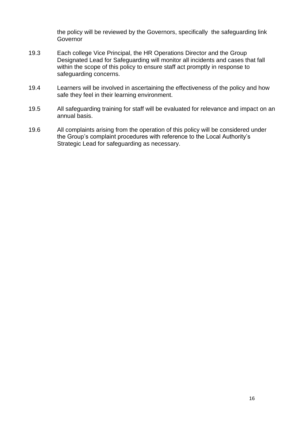the policy will be reviewed by the Governors, specifically the safeguarding link Governor

- 19.3 Each college Vice Principal, the HR Operations Director and the Group Designated Lead for Safeguarding will monitor all incidents and cases that fall within the scope of this policy to ensure staff act promptly in response to safeguarding concerns.
- 19.4 Learners will be involved in ascertaining the effectiveness of the policy and how safe they feel in their learning environment.
- 19.5 All safeguarding training for staff will be evaluated for relevance and impact on an annual basis.
- 19.6 All complaints arising from the operation of this policy will be considered under the Group's complaint procedures with reference to the Local Authority's Strategic Lead for safeguarding as necessary.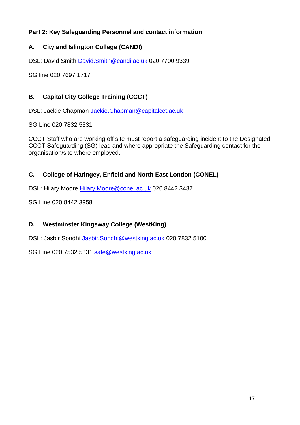# <span id="page-16-0"></span>**Part 2: Key Safeguarding Personnel and contact information**

# <span id="page-16-1"></span>**A. City and Islington College (CANDI)**

DSL: David Smith [David.Smith@candi.ac.uk](mailto:David.Smith@candi.ac.uk) 020 7700 9339

SG line 020 7697 1717

# <span id="page-16-2"></span>**B. Capital City College Training (CCCT)**

DSL: Jackie Chapman [Jackie.Chapman@capitalcct.ac.uk](mailto:Jackie.Chapman@capitalcct.ac.uk)

SG Line 020 7832 5331

CCCT Staff who are working off site must report a safeguarding incident to the Designated CCCT Safeguarding (SG) lead and where appropriate the Safeguarding contact for the organisation/site where employed.

# <span id="page-16-3"></span>**C. College of Haringey, Enfield and North East London (CONEL)**

DSL: Hilary Moore Hilary. Moore @conel.ac.uk 020 8442 3487

SG Line 020 8442 3958

## <span id="page-16-4"></span>**D. Westminster Kingsway College (WestKing)**

DSL: Jasbir Sondhi [Jasbir.Sondhi@westking.ac.uk](mailto:Jasbir.Sondhi@westking.ac.uk) 020 7832 5100

SG Line 020 7532 5331 [safe@westking.ac.uk](mailto:safe@westking.ac.uk)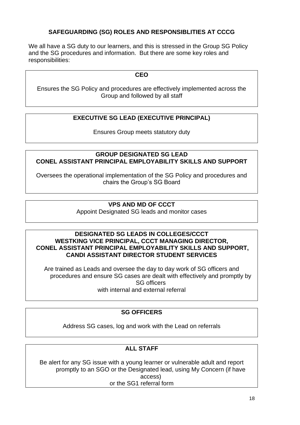## **SAFEGUARDING (SG) ROLES AND RESPONSIBLITIES AT CCCG**

We all have a SG duty to our learners, and this is stressed in the Group SG Policy and the SG procedures and information. But there are some key roles and responsibilities:

#### **CEO**

Ensures the SG Policy and procedures are effectively implemented across the Group and followed by all staff

### **EXECUTIVE SG LEAD (EXECUTIVE PRINCIPAL)**

Ensures Group meets statutory duty

#### **GROUP DESIGNATED SG LEAD CONEL ASSISTANT PRINCIPAL EMPLOYABILITY SKILLS AND SUPPORT**

Oversees the operational implementation of the SG Policy and procedures and chairs the Group's SG Board

#### **VPS AND MD OF CCCT**

Appoint Designated SG leads and monitor cases

#### **DESIGNATED SG LEADS IN COLLEGES/CCCT WESTKING VICE PRINCIPAL, CCCT MANAGING DIRECTOR, CONEL ASSISTANT PRINCIPAL EMPLOYABILITY SKILLS AND SUPPORT, CANDI ASSISTANT DIRECTOR STUDENT SERVICES**

Are trained as Leads and oversee the day to day work of SG officers and procedures and ensure SG cases are dealt with effectively and promptly by SG officers with internal and external referral

### **SG OFFICERS**

Address SG cases, log and work with the Lead on referrals

### **ALL STAFF**

Be alert for any SG issue with a young learner or vulnerable adult and report promptly to an SGO or the Designated lead, using My Concern (if have access) or the SG1 referral form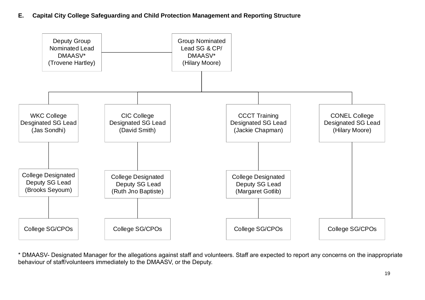**E. Capital City College Safeguarding and Child Protection Management and Reporting Structure**



<span id="page-18-0"></span>\* DMAASV- Designated Manager for the allegations against staff and volunteers. Staff are expected to report any concerns on the inappropriate behaviour of staff/volunteers immediately to the DMAASV, or the Deputy.